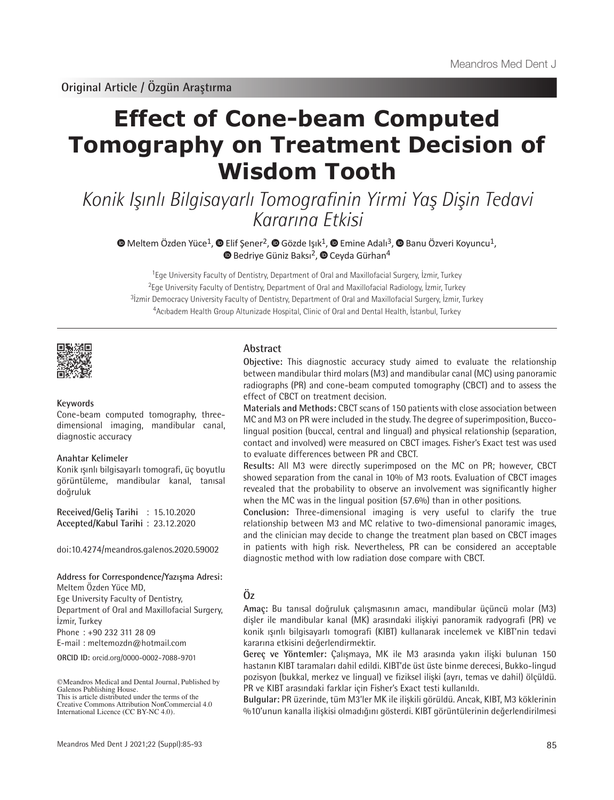# **Effect of Cone-beam Computed Tomography on Treatment Decision of Wisdom Tooth**

Konik Işınlı Bilgisayarlı Tomografinin Yirmi Yaş Dişin Tedavi Kararına Etkisi

 $\bullet$ Meltem Özden Yüce<sup>1</sup>,  $\bullet$  Elif Şener<sup>2</sup>,  $\bullet$  Gözde Işık<sup>1</sup>,  $\bullet$  Emine Adalı<sup>3</sup>,  $\bullet$  Banu Özveri Koyuncu<sup>1</sup>, **BedriyeGüniz Baksı<sup>2</sup>, © Ceyda Gürhan**<sup>4</sup>

<sup>1</sup>Ege University Faculty of Dentistry, Department of Oral and Maxillofacial Surgery, İzmir, Turkey <sup>2</sup>Ege University Faculty of Dentistry, Department of Oral and Maxillofacial Radiology, İzmir, Turkey <sup>3</sup>İzmir Democracy University Faculty of Dentistry, Department of Oral and Maxillofacial Surgery, İzmir, Turkey <sup>4</sup>Acıbadem Health Group Altunizade Hospital, Clinic of Oral and Dental Health, İstanbul, Turkey



## **Keywords**

Cone-beam computed tomography, threedimensional imaging, mandibular canal, diagnostic accuracy

#### **Anahtar Kelimeler**

Konik ışınlı bilgisayarlı tomografi, üç boyutlu görüntüleme, mandibular kanal, tanısal doğruluk

**Received/Geliş Tarihi** : 15.10.2020 **Accepted/Kabul Tarihi** : 23.12.2020

doi:10.4274/meandros.galenos.2020.59002

#### **Address for Correspondence/Yazışma Adresi:**

Meltem Özden Yüce MD,

Ege University Faculty of Dentistry, Department of Oral and Maxillofacial Surgery, İzmir, Turkey

Phone : +90 232 311 28 09

E-mail : meltemozdn@hotmail.com

**ORCID ID:** orcid.org/0000-0002-7088-9701

## **Abstract**

**Objective:** This diagnostic accuracy study aimed to evaluate the relationship between mandibular third molars (M3) and mandibular canal (MC) using panoramic radiographs (PR) and cone-beam computed tomography (CBCT) and to assess the effect of CBCT on treatment decision.

**Materials and Methods:** CBCT scans of 150 patients with close association between MC and M3 on PR were included in the study. The degree of superimposition, Buccolingual position (buccal, central and lingual) and physical relationship (separation, contact and involved) were measured on CBCT images. Fisher's Exact test was used to evaluate differences between PR and CBCT.

**Results:** All M3 were directly superimposed on the MC on PR; however, CBCT showed separation from the canal in 10% of M3 roots. Evaluation of CBCT images revealed that the probability to observe an involvement was significantly higher when the MC was in the lingual position (57.6%) than in other positions.

**Conclusion:** Three-dimensional imaging is very useful to clarify the true relationship between M3 and MC relative to two-dimensional panoramic images, and the clinician may decide to change the treatment plan based on CBCT images in patients with high risk. Nevertheless, PR can be considered an acceptable diagnostic method with low radiation dose compare with CBCT.

## **Öz**

**Amaç:** Bu tanısal doğruluk çalışmasının amacı, mandibular üçüncü molar (M3) dişler ile mandibular kanal (MK) arasındaki ilişkiyi panoramik radyografi (PR) ve konik ışınlı bilgisayarlı tomografi (KIBT) kullanarak incelemek ve KIBT'nin tedavi kararına etkisini değerlendirmektir.

**Gereç ve Yöntemler:** Çalışmaya, MK ile M3 arasında yakın ilişki bulunan 150 hastanın KIBT taramaları dahil edildi. KIBT'de üst üste binme derecesi, Bukko-lingud pozisyon (bukkal, merkez ve lingual) ve fiziksel ilişki (ayrı, temas ve dahil) ölçüldü. PR ve KIBT arasındaki farklar için Fisher's Exact testi kullanıldı.

**Bulgular:** PR üzerinde, tüm M3'ler MK ile ilişkili görüldü. Ancak, KIBT, M3 köklerinin %10'unun kanalla ilişkisi olmadığını gösterdi. KIBT görüntülerinin değerlendirilmesi

<sup>©</sup>Meandros Medical and Dental Journal, Published by Galenos Publishing House. This is article distributed under the terms of the

Creative Commons Attribution NonCommercial 4.0 International Licence (CC BY-NC 4.0).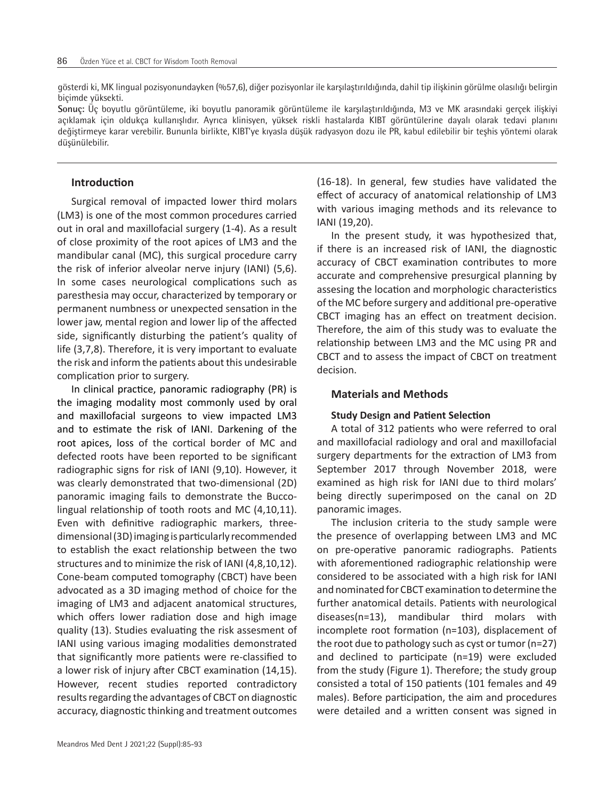gösterdi ki, MK lingual pozisyonundayken (%57,6), diğer pozisyonlar ile karşılaştırıldığında, dahil tip ilişkinin görülme olasılığı belirgin biçimde yüksekti.

**Sonuç:** Üç boyutlu görüntüleme, iki boyutlu panoramik görüntüleme ile karşılaştırıldığında, M3 ve MK arasındaki gerçek ilişkiyi açıklamak için oldukça kullanışlıdır. Ayrıca klinisyen, yüksek riskli hastalarda KIBT görüntülerine dayalı olarak tedavi planını değiştirmeye karar verebilir. Bununla birlikte, KIBT'ye kıyasla düşük radyasyon dozu ile PR, kabul edilebilir bir teşhis yöntemi olarak düşünülebilir.

## **Introduction**

Surgical removal of impacted lower third molars (LM3) is one of the most common procedures carried out in oral and maxillofacial surgery (1-4). As a result of close proximity of the root apices of LM3 and the mandibular canal (MC), this surgical procedure carry the risk of inferior alveolar nerve injury (IANI) (5,6). In some cases neurological complications such as paresthesia may occur, characterized by temporary or permanent numbness or unexpected sensation in the lower jaw, mental region and lower lip of the affected side, significantly disturbing the patient's quality of life (3,7,8). Therefore, it is very important to evaluate the risk and inform the patients about this undesirable complication prior to surgery.

In clinical practice, panoramic radiography (PR) is the imaging modality most commonly used by oral and maxillofacial surgeons to view impacted LM3 and to estimate the risk of IANI. Darkening of the root apices, loss of the cortical border of MC and defected roots have been reported to be significant radiographic signs for risk of IANI (9,10). However, it was clearly demonstrated that two-dimensional (2D) panoramic imaging fails to demonstrate the Buccolingual relationship of tooth roots and MC (4,10,11). Even with definitive radiographic markers, threedimensional (3D) imaging is particularly recommended to establish the exact relationship between the two structures and to minimize the risk of IANI (4,8,10,12). Cone-beam computed tomography (CBCT) have been advocated as a 3D imaging method of choice for the imaging of LM3 and adjacent anatomical structures, which offers lower radiation dose and high image quality (13). Studies evaluating the risk assesment of IANI using various imaging modalities demonstrated that significantly more patients were re-classified to a lower risk of injury after CBCT examination (14,15). However, recent studies reported contradictory results regarding the advantages of CBCT on diagnostic accuracy, diagnostic thinking and treatment outcomes

(16-18). In general, few studies have validated the effect of accuracy of anatomical relationship of LM3 with various imaging methods and its relevance to IANI (19,20).

In the present study, it was hypothesized that, if there is an increased risk of IANI, the diagnostic accuracy of CBCT examination contributes to more accurate and comprehensive presurgical planning by assesing the location and morphologic characteristics of the MC before surgery and additional pre-operative CBCT imaging has an effect on treatment decision. Therefore, the aim of this study was to evaluate the relationship between LM3 and the MC using PR and CBCT and to assess the impact of CBCT on treatment decision.

## **Materials and Methods**

## **Study Design and Patient Selection**

A total of 312 patients who were referred to oral and maxillofacial radiology and oral and maxillofacial surgery departments for the extraction of LM3 from September 2017 through November 2018, were examined as high risk for IANI due to third molars' being directly superimposed on the canal on 2D panoramic images.

The inclusion criteria to the study sample were the presence of overlapping between LM3 and MC on pre-operative panoramic radiographs. Patients with aforementioned radiographic relationship were considered to be associated with a high risk for IANI and nominated for CBCT examination to determine the further anatomical details. Patients with neurological diseases(n=13), mandibular third molars with incomplete root formation (n=103), displacement of the root due to pathology such as cyst or tumor (n=27) and declined to participate (n=19) were excluded from the study (Figure 1). Therefore; the study group consisted a total of 150 patients (101 females and 49 males). Before participation, the aim and procedures were detailed and a written consent was signed in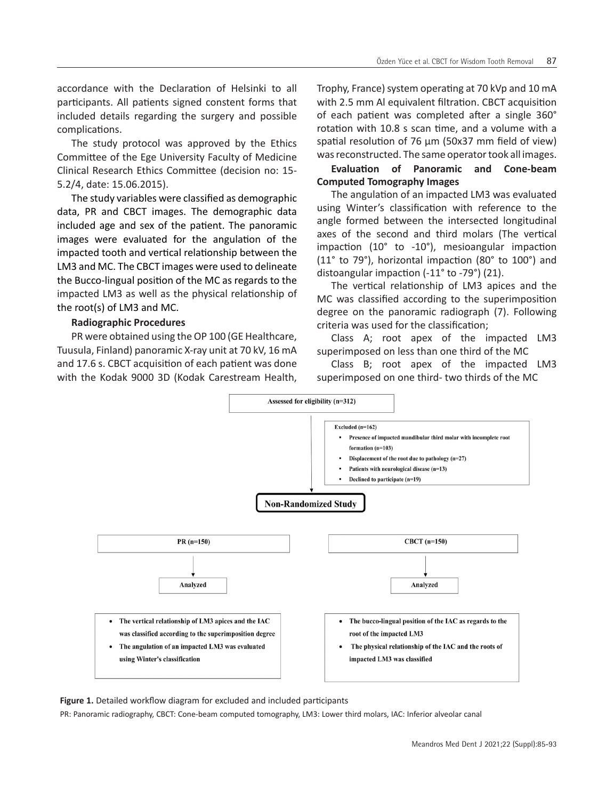accordance with the Declaration of Helsinki to all participants. All patients signed constent forms that included details regarding the surgery and possible complications.

The study protocol was approved by the Ethics Committee of the Ege University Faculty of Medicine Clinical Research Ethics Committee (decision no: 15- 5.2/4, date: 15.06.2015).

The study variables were classified as demographic data, PR and CBCT images. The demographic data included age and sex of the patient. The panoramic images were evaluated for the angulation of the impacted tooth and vertical relationship between the LM3 and MC. The CBCT images were used to delineate the Bucco-lingual position of the MC as regards to the impacted LM3 as well as the physical relationship of the root(s) of LM3 and MC.

## **Radiographic Procedures**

PR were obtained using the OP 100 (GE Healthcare, Tuusula, Finland) panoramic X-ray unit at 70 kV, 16 mA and 17.6 s. CBCT acquisition of each patient was done with the Kodak 9000 3D (Kodak Carestream Health,

Trophy, France) system operating at 70 kVp and 10 mA with 2.5 mm Al equivalent filtration. CBCT acquisition of each patient was completed after a single 360° rotation with 10.8 s scan time, and a volume with a spatial resolution of 76 μm (50x37 mm field of view) was reconstructed. The same operator took all images.

## **Evaluation of Panoramic and Cone-beam Computed Tomography Images**

The angulation of an impacted LM3 was evaluated using Winter's classification with reference to the angle formed between the intersected longitudinal axes of the second and third molars (The vertical impaction (10° to -10°), mesioangular impaction (11° to 79°), horizontal impaction (80° to 100°) and distoangular impaction (-11° to -79°) (21).

The vertical relationship of LM3 apices and the MC was classified according to the superimposition degree on the panoramic radiograph (7). Following criteria was used for the classification;

Class A; root apex of the impacted LM3 superimposed on less than one third of the MC

Class B; root apex of the impacted LM3 superimposed on one third- two thirds of the MC



**Figure 1.** Detailed workflow diagram for excluded and included participants

PR: Panoramic radiography, CBCT: Cone-beam computed tomography, LM3: Lower third molars, IAC: Inferior alveolar canal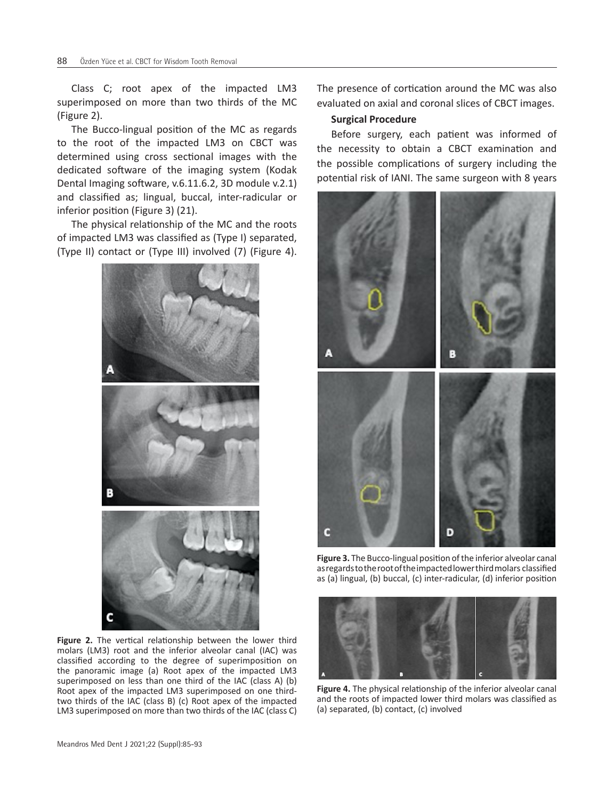Class C; root apex of the impacted LM3 superimposed on more than two thirds of the MC (Figure 2).

The Bucco-lingual position of the MC as regards to the root of the impacted LM3 on CBCT was determined using cross sectional images with the dedicated software of the imaging system (Kodak Dental Imaging software, v.6.11.6.2, 3D module v.2.1) and classified as; lingual, buccal, inter-radicular or inferior position (Figure 3) (21).

The physical relationship of the MC and the roots of impacted LM3 was classified as (Type I) separated, (Type II) contact or (Type III) involved (7) (Figure 4).



**Figure 2.** The vertical relationship between the lower third molars (LM3) root and the inferior alveolar canal (IAC) was classified according to the degree of superimposition on the panoramic image (a) Root apex of the impacted LM3 superimposed on less than one third of the IAC (class A) (b) Root apex of the impacted LM3 superimposed on one thirdtwo thirds of the IAC (class B) (c) Root apex of the impacted LM3 superimposed on more than two thirds of the IAC (class C) The presence of cortication around the MC was also evaluated on axial and coronal slices of CBCT images.

## **Surgical Procedure**

Before surgery, each patient was informed of the necessity to obtain a CBCT examination and the possible complications of surgery including the potential risk of IANI. The same surgeon with 8 years



**Figure 3.** The Bucco-lingual position of the inferior alveolar canal as regards to the root of the impacted lower third molars classified as (a) lingual, (b) buccal, (c) inter-radicular, (d) inferior position



**Figure 4.** The physical relationship of the inferior alveolar canal and the roots of impacted lower third molars was classified as (a) separated, (b) contact, (c) involved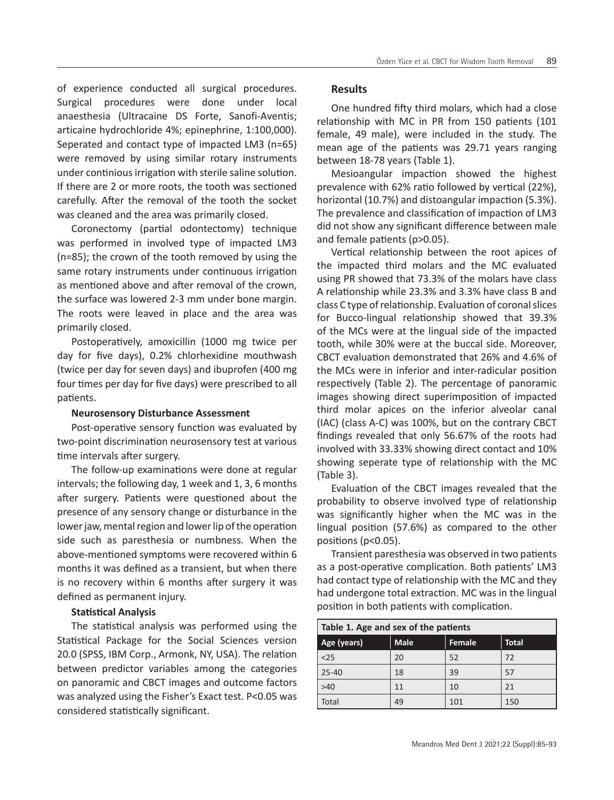of experience conducted all surgical procedures. Surgical procedures were done under local anaesthesia (Ultracaine DS Forte, Sanofi-Aventis; articaine hydrochloride 4%; epinephrine, 1:100,000). Seperated and contact type of impacted LM3 (n=65) were removed by using similar rotary instruments under continious irrigation with sterile saline solution. If there are 2 or more roots, the tooth was sectioned carefully. After the removal of the tooth the socket was cleaned and the area was primarily closed.

Coronectomy (partial odontectomy) technique was performed in involved type of impacted LM3 (n=85); the crown of the tooth removed by using the same rotary instruments under continuous irrigation as mentioned above and after removal of the crown, the surface was lowered 2-3 mm under bone margin. The roots were leaved in place and the area was primarily closed.

Postoperatively, amoxicillin (1000 mg twice per day for five days), 0.2% chlorhexidine mouthwash (twice per day for seven days) and ibuprofen (400 mg four times per day for five days) were prescribed to all patients.

## **Neurosensory Disturbance Assessment**

Post-operative sensory function was evaluated by two-point discrimination neurosensory test at various time intervals after surgery.

The follow-up examinations were done at regular intervals; the following day, 1 week and 1, 3, 6 months after surgery. Patients were questioned about the presence of any sensory change or disturbance in the lower jaw, mental region and lower lip of the operation side such as paresthesia or numbness. When the above-mentioned symptoms were recovered within 6 months it was defined as a transient, but when there is no recovery within 6 months after surgery it was defined as permanent injury.

## **Statistical Analysis**

The statistical analysis was performed using the Statistical Package for the Social Sciences version 20.0 (SPSS, IBM Corp., Armonk, NY, USA). The relation between predictor variables among the categories on panoramic and CBCT images and outcome factors was analyzed using the Fisher's Exact test. P<0.05 was considered statistically significant.

## **Results**

One hundred fifty third molars, which had a close relationship with MC in PR from 150 patients (101 female, 49 male), were included in the study. The mean age of the patients was 29.71 years ranging between 18-78 years (Table 1).

Mesioangular impaction showed the highest prevalence with 62% ratio followed by vertical (22%), horizontal (10.7%) and distoangular impaction (5.3%). The prevalence and classification of impaction of LM3 did not show any significant difference between male and female patients (p>0.05).

Vertical relationship between the root apices of the impacted third molars and the MC evaluated using PR showed that 73.3% of the molars have class A relationship while 23.3% and 3.3% have class B and class C type of relationship. Evaluation of coronal slices for Bucco-lingual relationship showed that 39.3% of the MCs were at the lingual side of the impacted tooth, while 30% were at the buccal side. Moreover, CBCT evaluation demonstrated that 26% and 4.6% of the MCs were in inferior and inter-radicular position respectively (Table 2). The percentage of panoramic images showing direct superimposition of impacted third molar apices on the inferior alveolar canal (IAC) (class A-C) was 100%, but on the contrary CBCT findings revealed that only 56.67% of the roots had involved with 33.33% showing direct contact and 10% showing seperate type of relationship with the MC (Table 3).

Evaluation of the CBCT images revealed that the probability to observe involved type of relationship was significantly higher when the MC was in the lingual position (57.6%) as compared to the other positions (p<0.05).

Transient paresthesia was observed in two patients as a post-operative complication. Both patients' LM3 had contact type of relationship with the MC and they had undergone total extraction. MC was in the lingual position in both patients with complication.

| Table 1. Age and sex of the patients |             |               |              |  |  |  |
|--------------------------------------|-------------|---------------|--------------|--|--|--|
| Age (years)                          | <b>Male</b> | <b>Female</b> | <b>Total</b> |  |  |  |
| < 25                                 | 20          | 52            | 72           |  |  |  |
| $25 - 40$                            | 18          | 39            | 57           |  |  |  |
| >40                                  | 11          | 10            | 21           |  |  |  |
| Total                                | 49          | 101           | 150          |  |  |  |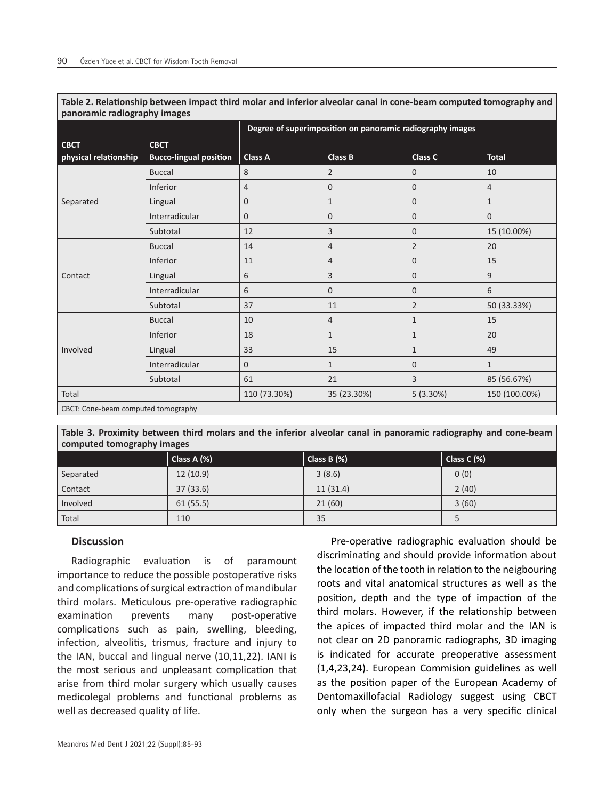| panoramic radiography images        |                               |                                                           |                |                |                |  |  |
|-------------------------------------|-------------------------------|-----------------------------------------------------------|----------------|----------------|----------------|--|--|
|                                     |                               | Degree of superimposition on panoramic radiography images |                |                |                |  |  |
| <b>CBCT</b>                         | <b>CBCT</b>                   |                                                           |                |                |                |  |  |
| physical relationship               | <b>Bucco-lingual position</b> | <b>Class A</b>                                            | Class B        | Class C        | <b>Total</b>   |  |  |
| Separated                           | <b>Buccal</b>                 | 8                                                         | $\overline{2}$ | 0              | 10             |  |  |
|                                     | Inferior                      | $\overline{4}$                                            | $\overline{0}$ | $\overline{0}$ | $\overline{4}$ |  |  |
|                                     | Lingual                       | $\mathbf 0$                                               | $\mathbf{1}$   | $\overline{0}$ | $\mathbf{1}$   |  |  |
|                                     | Interradicular                | $\mathbf 0$                                               | $\overline{0}$ | $\overline{0}$ | $\overline{0}$ |  |  |
|                                     | Subtotal                      | 12                                                        | 3              | $\overline{0}$ | 15 (10.00%)    |  |  |
| Contact                             | <b>Buccal</b>                 | 14                                                        | 4              | $\overline{2}$ | 20             |  |  |
|                                     | Inferior                      | 11                                                        | 4              | $\overline{0}$ | 15             |  |  |
|                                     | Lingual                       | 6                                                         | 3              | $\overline{0}$ | 9              |  |  |
|                                     | Interradicular                | 6                                                         | 0              | $\overline{0}$ | 6              |  |  |
|                                     | Subtotal                      | 37                                                        | 11             | $\overline{2}$ | 50 (33.33%)    |  |  |
| Involved                            | <b>Buccal</b>                 | 10                                                        | 4              | $\mathbf{1}$   | 15             |  |  |
|                                     | Inferior                      | 18                                                        | $\mathbf{1}$   | 1              | 20             |  |  |
|                                     | Lingual                       | 33                                                        | 15             | 1              | 49             |  |  |
|                                     | Interradicular                | $\mathbf{0}$                                              | $\mathbf{1}$   | $\overline{0}$ | $\mathbf{1}$   |  |  |
|                                     | Subtotal                      | 61                                                        | 21             | 3              | 85 (56.67%)    |  |  |
| Total                               |                               | 110 (73.30%)                                              | 35 (23.30%)    | 5(3.30%)       | 150 (100.00%)  |  |  |
| CBCT: Cone-beam computed tomography |                               |                                                           |                |                |                |  |  |

**Table 2. Relationship between impact third molar and inferior alveolar canal in cone-beam computed tomography and panoramic radiography images**

**Table 3. Proximity between third molars and the inferior alveolar canal in panoramic radiography and cone-beam computed tomography images**

|           | Class A (%) | Class B (%) | Class C (%) |
|-----------|-------------|-------------|-------------|
| Separated | 12(10.9)    | 3(8.6)      | 0(0)        |
| Contact   | 37(33.6)    | 11(31.4)    | 2(40)       |
| Involved  | 61(55.5)    | 21(60)      | 3(60)       |
| Total     | 110         | 35          |             |

## **Discussion**

Radiographic evaluation is of paramount importance to reduce the possible postoperative risks and complications of surgical extraction of mandibular third molars. Meticulous pre-operative radiographic examination prevents many post-operative complications such as pain, swelling, bleeding, infection, alveolitis, trismus, fracture and injury to the IAN, buccal and lingual nerve (10,11,22). IANI is the most serious and unpleasant complication that arise from third molar surgery which usually causes medicolegal problems and functional problems as well as decreased quality of life.

Pre-operative radiographic evaluation should be discriminating and should provide information about the location of the tooth in relation to the neigbouring roots and vital anatomical structures as well as the position, depth and the type of impaction of the third molars. However, if the relationship between the apices of impacted third molar and the IAN is not clear on 2D panoramic radiographs, 3D imaging is indicated for accurate preoperative assessment (1,4,23,24). European Commision guidelines as well as the position paper of the European Academy of Dentomaxillofacial Radiology suggest using CBCT only when the surgeon has a very specific clinical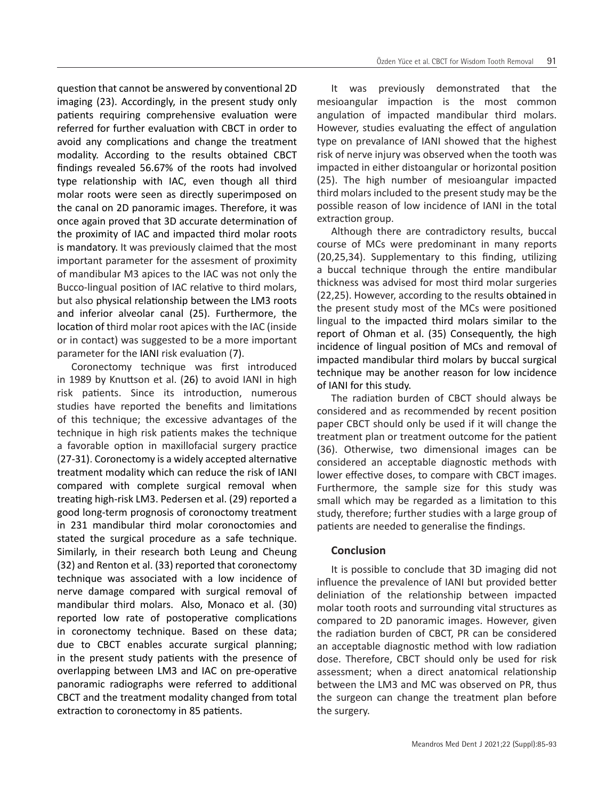question that cannot be answered by conventional 2D imaging (23). Accordingly, in the present study only patients requiring comprehensive evaluation were referred for further evaluation with CBCT in order to avoid any complications and change the treatment modality. According to the results obtained CBCT findings revealed 56.67% of the roots had involved type relationship with IAC, even though all third molar roots were seen as directly superimposed on the canal on 2D panoramic images. Therefore, it was once again proved that 3D accurate determination of the proximity of IAC and impacted third molar roots is mandatory. It was previously claimed that the most important parameter for the assesment of proximity of mandibular M3 apices to the IAC was not only the Bucco-lingual position of IAC relative to third molars, but also physical relationship between the LM3 roots and inferior alveolar canal (25). Furthermore, the location of third molar root apices with the IAC (inside or in contact) was suggested to be a more important parameter for the IANI risk evaluation (7).

Coronectomy technique was first introduced in 1989 by Knuttson et al. (26) to avoid IANI in high risk patients. Since its introduction, numerous studies have reported the benefits and limitations of this technique; the excessive advantages of the technique in high risk patients makes the technique a favorable option in maxillofacial surgery practice (27-31). Coronectomy is a widely accepted alternative treatment modality which can reduce the risk of IANI compared with complete surgical removal when treating high-risk LM3. Pedersen et al. (29) reported a good long-term prognosis of coronoctomy treatment in 231 mandibular third molar coronoctomies and stated the surgical procedure as a safe technique. Similarly, in their research both Leung and Cheung (32) and Renton et al. (33) reported that coronectomy technique was associated with a low incidence of nerve damage compared with surgical removal of mandibular third molars. Also, Monaco et al. (30) reported low rate of postoperative complications in coronectomy technique. Based on these data; due to CBCT enables accurate surgical planning; in the present study patients with the presence of overlapping between LM3 and IAC on pre-operative panoramic radiographs were referred to additional CBCT and the treatment modality changed from total extraction to coronectomy in 85 patients.

It was previously demonstrated that the mesioangular impaction is the most common angulation of impacted mandibular third molars. However, studies evaluating the effect of angulation type on prevalance of IANI showed that the highest risk of nerve injury was observed when the tooth was impacted in either distoangular or horizontal position (25). The high number of mesioangular impacted third molars included to the present study may be the possible reason of low incidence of IANI in the total extraction group.

Although there are contradictory results, buccal course of MCs were predominant in many reports (20,25,34). Supplementary to this finding, utilizing a buccal technique through the entire mandibular thickness was advised for most third molar surgeries (22,25). However, according to the results obtained in the present study most of the MCs were positioned lingual to the impacted third molars similar to the report of Ohman et al. (35) Consequently, the high incidence of lingual position of MCs and removal of impacted mandibular third molars by buccal surgical technique may be another reason for low incidence of IANI for this study.

The radiation burden of CBCT should always be considered and as recommended by recent position paper CBCT should only be used if it will change the treatment plan or treatment outcome for the patient (36). Otherwise, two dimensional images can be considered an acceptable diagnostic methods with lower effective doses, to compare with CBCT images. Furthermore, the sample size for this study was small which may be regarded as a limitation to this study, therefore; further studies with a large group of patients are needed to generalise the findings.

## **Conclusion**

It is possible to conclude that 3D imaging did not influence the prevalence of IANI but provided better deliniation of the relationship between impacted molar tooth roots and surrounding vital structures as compared to 2D panoramic images. However, given the radiation burden of CBCT, PR can be considered an acceptable diagnostic method with low radiation dose. Therefore, CBCT should only be used for risk assessment; when a direct anatomical relationship between the LM3 and MC was observed on PR, thus the surgeon can change the treatment plan before the surgery.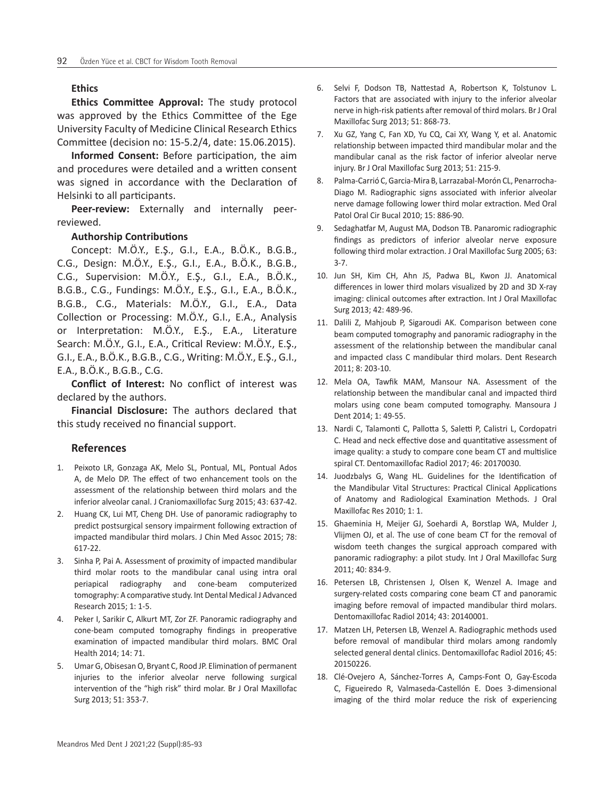## **Ethics**

**Ethics Committee Approval:** The study protocol was approved by the Ethics Committee of the Ege University Faculty of Medicine Clinical Research Ethics Committee (decision no: 15-5.2/4, date: 15.06.2015).

**Informed Consent:** Before participation, the aim and procedures were detailed and a written consent was signed in accordance with the Declaration of Helsinki to all participants.

**Peer-review:** Externally and internally peerreviewed.

## **Authorship Contributions**

Concept: M.Ö.Y., E.Ş., G.I., E.A., B.Ö.K., B.G.B., C.G., Design: M.Ö.Y., E.Ş., G.I., E.A., B.Ö.K., B.G.B., C.G., Supervision: M.Ö.Y., E.Ş., G.I., E.A., B.Ö.K., B.G.B., C.G., Fundings: M.Ö.Y., E.Ş., G.I., E.A., B.Ö.K., B.G.B., C.G., Materials: M.Ö.Y., G.I., E.A., Data Collection or Processing: M.Ö.Y., G.I., E.A., Analysis or Interpretation: M.Ö.Y., E.Ş., E.A., Literature Search: M.Ö.Y., G.I., E.A., Critical Review: M.Ö.Y., E.Ş., G.I., E.A., B.Ö.K., B.G.B., C.G., Writing: M.Ö.Y., E.Ş., G.I., E.A., B.Ö.K., B.G.B., C.G.

**Conflict of Interest:** No conflict of interest was declared by the authors.

**Financial Disclosure:** The authors declared that this study received no financial support.

## **References**

- 1. Peixoto LR, Gonzaga AK, Melo SL, Pontual, ML, Pontual Ados A, de Melo DP. The effect of two enhancement tools on the assessment of the relationship between third molars and the inferior alveolar canal. J Craniomaxillofac Surg 2015; 43: 637-42.
- 2. Huang CK, Lui MT, Cheng DH. Use of panoramic radiography to predict postsurgical sensory impairment following extraction of impacted mandibular third molars. J Chin Med Assoc 2015; 78: 617-22.
- 3. Sinha P, Pai A. Assessment of proximity of impacted mandibular third molar roots to the mandibular canal using intra oral periapical radiography and cone-beam computerized tomography: A comparative study. Int Dental Medical J Advanced Research 2015; 1: 1-5.
- 4. Peker I, Sarikir C, Alkurt MT, Zor ZF. Panoramic radiography and cone-beam computed tomography findings in preoperative examination of impacted mandibular third molars. BMC Oral Health 2014; 14: 71.
- 5. Umar G, Obisesan O, Bryant C, Rood JP. Elimination of permanent injuries to the inferior alveolar nerve following surgical intervention of the "high risk" third molar. Br J Oral Maxillofac Surg 2013; 51: 353-7.
- 6. Selvi F, Dodson TB, Nattestad A, Robertson K, Tolstunov L. Factors that are associated with injury to the inferior alveolar nerve in high-risk patients after removal of third molars. Br J Oral Maxillofac Surg 2013; 51: 868-73.
- 7. Xu GZ, Yang C, Fan XD, Yu CQ, Cai XY, Wang Y, et al. Anatomic relationship between impacted third mandibular molar and the mandibular canal as the risk factor of inferior alveolar nerve injury. Br J Oral Maxillofac Surg 2013; 51: 215-9.
- 8. Palma-Carrió C, Garcia-Mira B, Larrazabal-Morón CL, Penarrocha-Diago M. Radiographic signs associated with inferior alveolar nerve damage following lower third molar extraction. Med Oral Patol Oral Cir Bucal 2010; 15: 886-90.
- 9. Sedaghatfar M, August MA, Dodson TB. Panaromic radiographic findings as predictors of inferior alveolar nerve exposure following third molar extraction. J Oral Maxillofac Surg 2005; 63: 3-7.
- 10. Jun SH, Kim CH, Ahn JS, Padwa BL, Kwon JJ. Anatomical differences in lower third molars visualized by 2D and 3D X-ray imaging: clinical outcomes after extraction. Int J Oral Maxillofac Surg 2013; 42: 489-96.
- 11. Dalili Z, Mahjoub P, Sigaroudi AK. Comparison between cone beam computed tomography and panoramic radiography in the assessment of the relationship between the mandibular canal and impacted class C mandibular third molars. Dent Research 2011; 8: 203-10.
- 12. Mela OA, Tawfik MAM, Mansour NA. Assessment of the relationship between the mandibular canal and impacted third molars using cone beam computed tomography. Mansoura J Dent 2014; 1: 49-55.
- 13. Nardi C, Talamonti C, Pallotta S, Saletti P, Calistri L, Cordopatri C. Head and neck effective dose and quantitative assessment of image quality: a study to compare cone beam CT and multislice spiral CT. Dentomaxillofac Radiol 2017; 46: 20170030.
- 14. Juodzbalys G, Wang HL. Guidelines for the Identification of the Mandibular Vital Structures: Practical Clinical Applications of Anatomy and Radiological Examination Methods. J Oral Maxillofac Res 2010; 1: 1.
- 15. Ghaeminia H, Meijer GJ, Soehardi A, Borstlap WA, Mulder J, Vlijmen OJ, et al. The use of cone beam CT for the removal of wisdom teeth changes the surgical approach compared with panoramic radiography: a pilot study. Int J Oral Maxillofac Surg 2011; 40: 834-9.
- 16. Petersen LB, Christensen J, Olsen K, Wenzel A. Image and surgery-related costs comparing cone beam CT and panoramic imaging before removal of impacted mandibular third molars. Dentomaxillofac Radiol 2014; 43: 20140001.
- 17. Matzen LH, Petersen LB, Wenzel A. Radiographic methods used before removal of mandibular third molars among randomly selected general dental clinics. Dentomaxillofac Radiol 2016; 45: 20150226.
- 18. Clé-Ovejero A, Sánchez-Torres A, Camps-Font O, Gay-Escoda C, Figueiredo R, Valmaseda-Castellón E. Does 3-dimensional imaging of the third molar reduce the risk of experiencing